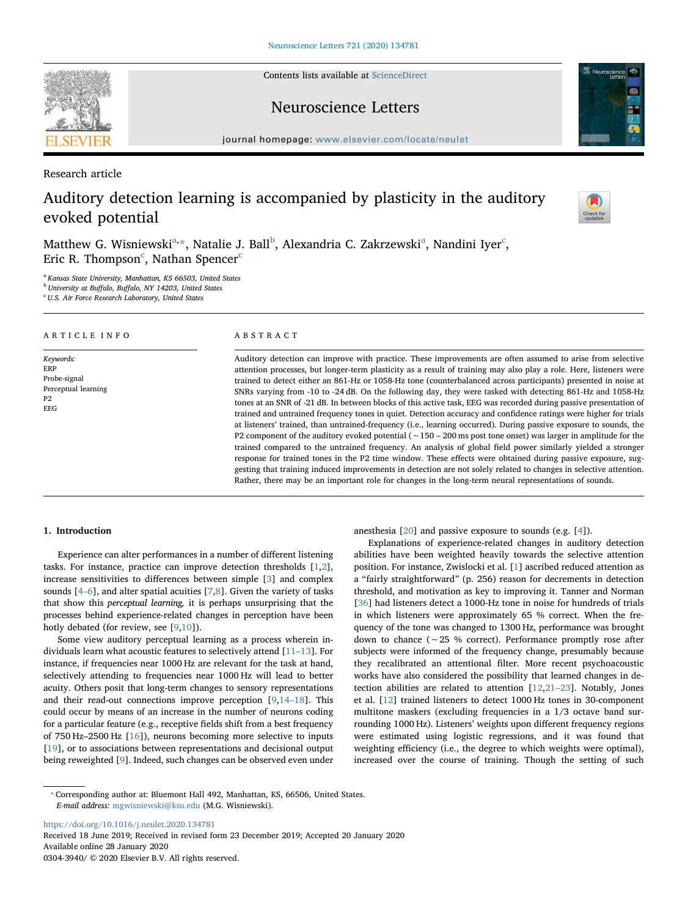Contents lists available at [ScienceDirect](http://www.sciencedirect.com/science/journal/03043940)

## Neuroscience Letters

journal homepage: [www.elsevier.com/locate/neulet](https://www.elsevier.com/locate/neulet)

Research article

# Auditory detection learning is accompanied by plasticity in the auditory evoked potential

M[a](#page-0-0)tthew G. Wisniewski $\mathrm{a}^*,$  $\mathrm{a}^*,$  Natalie J. Ball $\mathrm{^b},$  $\mathrm{^b},$  $\mathrm{^b},$  Alexandria C. Zakrzewski $\mathrm{^a},$  Nandini Iyer $\mathrm{^c},$ Eri[c](#page-0-3) R. Thompson $\mathrm{^c}\text{,}$  Nathan Spencer $\mathrm{^c}\text{ }$ 

<span id="page-0-0"></span><sup>a</sup> Kansas State University, Manhattan, KS 66503, United States

<span id="page-0-2"></span><sup>b</sup> University at Buffalo, Buffalo, NY 14203, United States

<span id="page-0-3"></span><sup>c</sup> U.S. Air Force Research Laboratory, United States

## ARTICLE INFO

Keywords: ERP Probe-signal Perceptual learning P2 EEG

#### ABSTRACT

Auditory detection can improve with practice. These improvements are often assumed to arise from selective attention processes, but longer-term plasticity as a result of training may also play a role. Here, listeners were trained to detect either an 861-Hz or 1058-Hz tone (counterbalanced across participants) presented in noise at SNRs varying from -10 to -24 dB. On the following day, they were tasked with detecting 861-Hz and 1058-Hz tones at an SNR of -21 dB. In between blocks of this active task, EEG was recorded during passive presentation of trained and untrained frequency tones in quiet. Detection accuracy and confidence ratings were higher for trials at listeners' trained, than untrained-frequency (i.e., learning occurred). During passive exposure to sounds, the P2 component of the auditory evoked potential (∼150 – 200 ms post tone onset) was larger in amplitude for the trained compared to the untrained frequency. An analysis of global field power similarly yielded a stronger response for trained tones in the P2 time window. These effects were obtained during passive exposure, suggesting that training induced improvements in detection are not solely related to changes in selective attention. Rather, there may be an important role for changes in the long-term neural representations of sounds.

## 1. Introduction

Experience can alter performances in a number of different listening tasks. For instance, practice can improve detection thresholds [[1](#page-3-0),[2](#page-3-1)], increase sensitivities to differences between simple [[3](#page-3-2)] and complex sounds  $[4-6]$  $[4-6]$ , and alter spatial acuities  $[7,8]$  $[7,8]$  $[7,8]$  $[7,8]$  $[7,8]$ . Given the variety of tasks that show this perceptual learning, it is perhaps unsurprising that the processes behind experience-related changes in perception have been hotly debated (for review, see [[9](#page-3-6)[,10](#page-3-7)]).

Some view auditory perceptual learning as a process wherein individuals learn what acoustic features to selectively attend [\[11](#page-3-8)–13]. For instance, if frequencies near 1000 Hz are relevant for the task at hand, selectively attending to frequencies near 1000 Hz will lead to better acuity. Others posit that long-term changes to sensory representations and their read-out connections improve perception [\[9,](#page-3-6)14–[18\]](#page-3-9). This could occur by means of an increase in the number of neurons coding for a particular feature (e.g., receptive fields shift from a best frequency of 750 Hz–2500 Hz [\[16](#page-3-10)]), neurons becoming more selective to inputs [[19\]](#page-3-11), or to associations between representations and decisional output being reweighted [[9](#page-3-6)]. Indeed, such changes can be observed even under anesthesia [\[20](#page-3-12)] and passive exposure to sounds (e.g. [\[4\]](#page-3-3)).

Explanations of experience-related changes in auditory detection abilities have been weighted heavily towards the selective attention position. For instance, Zwislocki et al. [[1](#page-3-0)] ascribed reduced attention as a "fairly straightforward" (p. 256) reason for decrements in detection threshold, and motivation as key to improving it. Tanner and Norman [[36\]](#page-4-0) had listeners detect a 1000-Hz tone in noise for hundreds of trials in which listeners were approximately 65 % correct. When the frequency of the tone was changed to 1300 Hz, performance was brought down to chance (∼25 % correct). Performance promptly rose after subjects were informed of the frequency change, presumably because they recalibrated an attentional filter. More recent psychoacoustic works have also considered the possibility that learned changes in detection abilities are related to attention [[12](#page-3-13)[,21](#page-3-14)–23]. Notably, Jones et al. [[12\]](#page-3-13) trained listeners to detect 1000 Hz tones in 30-component multitone maskers (excluding frequencies in a 1/3 octave band surrounding 1000 Hz). Listeners' weights upon different frequency regions were estimated using logistic regressions, and it was found that weighting efficiency (i.e., the degree to which weights were optimal), increased over the course of training. Though the setting of such

<https://doi.org/10.1016/j.neulet.2020.134781>

Received 18 June 2019; Received in revised form 23 December 2019; Accepted 20 January 2020 Available online 28 January 2020

0304-3940/ © 2020 Elsevier B.V. All rights reserved.







<span id="page-0-1"></span><sup>⁎</sup> Corresponding author at: Bluemont Hall 492, Manhattan, KS, 66506, United States. E-mail address: [mgwisniewski@ksu.edu](mailto:mgwisniewski@ksu.edu) (M.G. Wisniewski).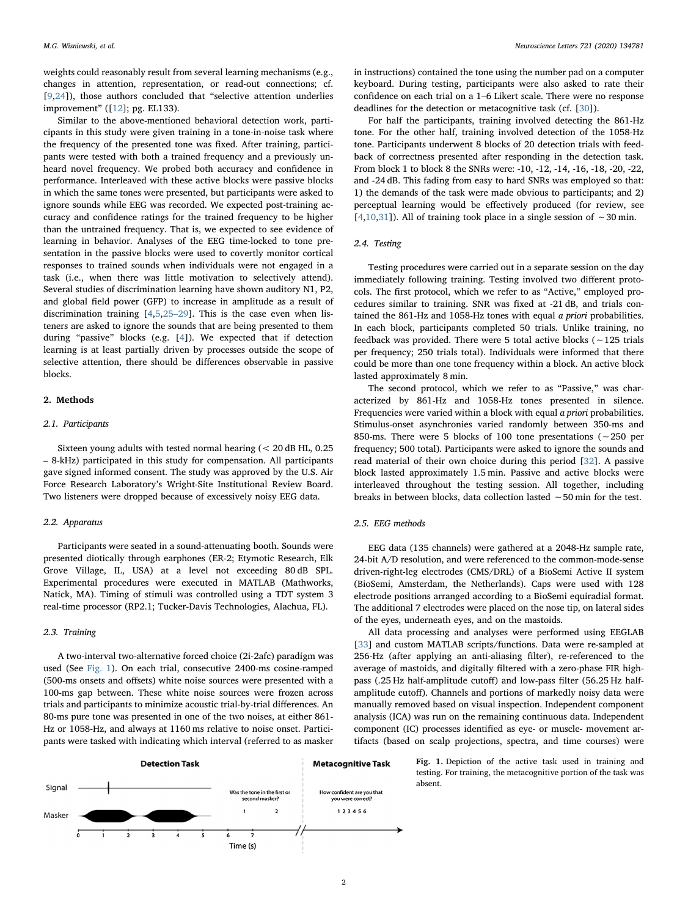weights could reasonably result from several learning mechanisms (e.g., changes in attention, representation, or read-out connections; cf. [[9](#page-3-6),[24\]](#page-4-1)), those authors concluded that "selective attention underlies improvement" ([\[12](#page-3-13)]; pg. EL133).

Similar to the above-mentioned behavioral detection work, participants in this study were given training in a tone-in-noise task where the frequency of the presented tone was fixed. After training, participants were tested with both a trained frequency and a previously unheard novel frequency. We probed both accuracy and confidence in performance. Interleaved with these active blocks were passive blocks in which the same tones were presented, but participants were asked to ignore sounds while EEG was recorded. We expected post-training accuracy and confidence ratings for the trained frequency to be higher than the untrained frequency. That is, we expected to see evidence of learning in behavior. Analyses of the EEG time-locked to tone presentation in the passive blocks were used to covertly monitor cortical responses to trained sounds when individuals were not engaged in a task (i.e., when there was little motivation to selectively attend). Several studies of discrimination learning have shown auditory N1, P2, and global field power (GFP) to increase in amplitude as a result of discrimination training [[4](#page-3-3)[,5](#page-3-15)[,25](#page-4-2)–29]. This is the case even when listeners are asked to ignore the sounds that are being presented to them during "passive" blocks (e.g. [\[4\]](#page-3-3)). We expected that if detection learning is at least partially driven by processes outside the scope of selective attention, there should be differences observable in passive blocks.

### 2. Methods

### 2.1. Participants

Sixteen young adults with tested normal hearing (< 20 dB HL, 0.25 – 8-kHz) participated in this study for compensation. All participants gave signed informed consent. The study was approved by the U.S. Air Force Research Laboratory's Wright-Site Institutional Review Board. Two listeners were dropped because of excessively noisy EEG data.

### 2.2. Apparatus

Participants were seated in a sound-attenuating booth. Sounds were presented diotically through earphones (ER-2; Etymotic Research, Elk Grove Village, IL, USA) at a level not exceeding 80 dB SPL. Experimental procedures were executed in MATLAB (Mathworks, Natick, MA). Timing of stimuli was controlled using a TDT system 3 real-time processor (RP2.1; Tucker-Davis Technologies, Alachua, FL).

## 2.3. Training

A two-interval two-alternative forced choice (2i-2afc) paradigm was used (See [Fig. 1\)](#page-1-0). On each trial, consecutive 2400-ms cosine-ramped (500-ms onsets and offsets) white noise sources were presented with a 100-ms gap between. These white noise sources were frozen across trials and participants to minimize acoustic trial-by-trial differences. An 80-ms pure tone was presented in one of the two noises, at either 861- Hz or 1058-Hz, and always at 1160 ms relative to noise onset. Participants were tasked with indicating which interval (referred to as masker

in instructions) contained the tone using the number pad on a computer keyboard. During testing, participants were also asked to rate their confidence on each trial on a 1–6 Likert scale. There were no response deadlines for the detection or metacognitive task (cf. [[30\]](#page-4-3)).

For half the participants, training involved detecting the 861-Hz tone. For the other half, training involved detection of the 1058-Hz tone. Participants underwent 8 blocks of 20 detection trials with feedback of correctness presented after responding in the detection task. From block 1 to block 8 the SNRs were: -10, -12, -14, -16, -18, -20, -22, and -24 dB. This fading from easy to hard SNRs was employed so that: 1) the demands of the task were made obvious to participants; and 2) perceptual learning would be effectively produced (for review, see [[4](#page-3-3),[10,](#page-3-7)[31\]](#page-4-4)). All of training took place in a single session of ∼30 min.

#### 2.4. Testing

Testing procedures were carried out in a separate session on the day immediately following training. Testing involved two different protocols. The first protocol, which we refer to as "Active," employed procedures similar to training. SNR was fixed at -21 dB, and trials contained the 861-Hz and 1058-Hz tones with equal a priori probabilities. In each block, participants completed 50 trials. Unlike training, no feedback was provided. There were 5 total active blocks (∼125 trials per frequency; 250 trials total). Individuals were informed that there could be more than one tone frequency within a block. An active block lasted approximately 8 min.

The second protocol, which we refer to as "Passive," was characterized by 861-Hz and 1058-Hz tones presented in silence. Frequencies were varied within a block with equal a priori probabilities. Stimulus-onset asynchronies varied randomly between 350-ms and 850-ms. There were 5 blocks of 100 tone presentations (∼250 per frequency; 500 total). Participants were asked to ignore the sounds and read material of their own choice during this period [[32\]](#page-4-5). A passive block lasted approximately 1.5 min. Passive and active blocks were interleaved throughout the testing session. All together, including breaks in between blocks, data collection lasted ∼50 min for the test.

## 2.5. EEG methods

EEG data (135 channels) were gathered at a 2048-Hz sample rate, 24-bit A/D resolution, and were referenced to the common-mode-sense driven-right-leg electrodes (CMS/DRL) of a BioSemi Active II system (BioSemi, Amsterdam, the Netherlands). Caps were used with 128 electrode positions arranged according to a BioSemi equiradial format. The additional 7 electrodes were placed on the nose tip, on lateral sides of the eyes, underneath eyes, and on the mastoids.

All data processing and analyses were performed using EEGLAB [[33\]](#page-4-6) and custom MATLAB scripts/functions. Data were re-sampled at 256-Hz (after applying an anti-aliasing filter), re-referenced to the average of mastoids, and digitally filtered with a zero-phase FIR highpass (.25 Hz half-amplitude cutoff) and low-pass filter (56.25 Hz halfamplitude cutoff). Channels and portions of markedly noisy data were manually removed based on visual inspection. Independent component analysis (ICA) was run on the remaining continuous data. Independent component (IC) processes identified as eye- or muscle- movement artifacts (based on scalp projections, spectra, and time courses) were

<span id="page-1-0"></span>**Detection Task Metacognitive Task** Signal Was the tone in the first of How confident are you that you were correct? second masker?  $\overline{2}$ 123456 Masker  $\overline{z}$ Time (s)

Fig. 1. Depiction of the active task used in training and testing. For training, the metacognitive portion of the task was absent.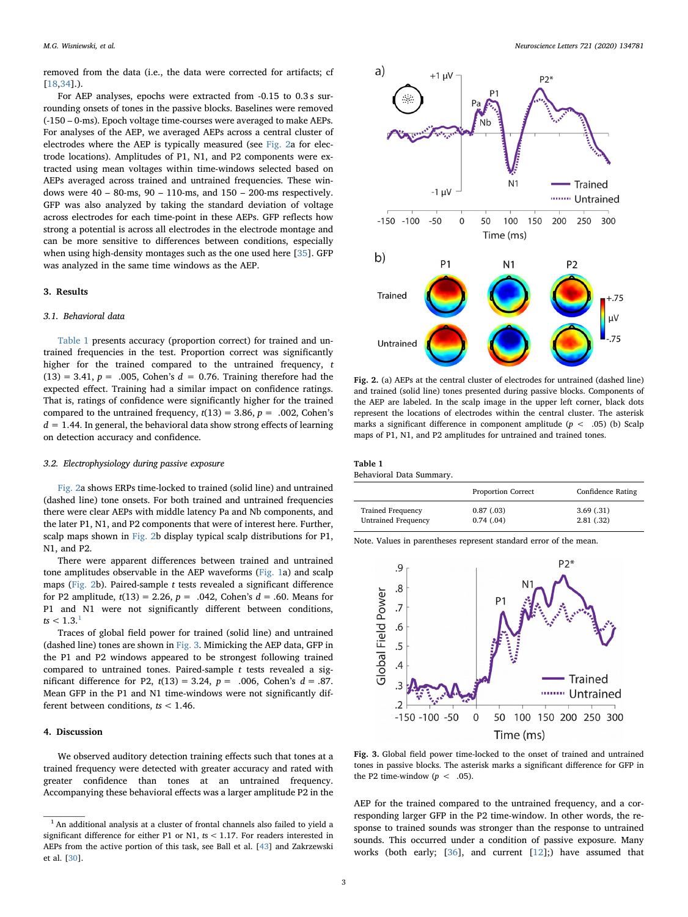removed from the data (i.e., the data were corrected for artifacts; cf [[18](#page-3-16)[,34](#page-4-7)].).

For AEP analyses, epochs were extracted from -0.15 to 0.3 s surrounding onsets of tones in the passive blocks. Baselines were removed (-150 – 0-ms). Epoch voltage time-courses were averaged to make AEPs. For analyses of the AEP, we averaged AEPs across a central cluster of electrodes where the AEP is typically measured (see [Fig. 2a](#page-2-0) for electrode locations). Amplitudes of P1, N1, and P2 components were extracted using mean voltages within time-windows selected based on AEPs averaged across trained and untrained frequencies. These windows were  $40 - 80$ -ms,  $90 - 110$ -ms, and  $150 - 200$ -ms respectively. GFP was also analyzed by taking the standard deviation of voltage across electrodes for each time-point in these AEPs. GFP reflects how strong a potential is across all electrodes in the electrode montage and can be more sensitive to differences between conditions, especially when using high-density montages such as the one used here [\[35](#page-4-8)]. GFP was analyzed in the same time windows as the AEP.

#### 3. Results

## 3.1. Behavioral data

[Table 1](#page-2-1) presents accuracy (proportion correct) for trained and untrained frequencies in the test. Proportion correct was significantly higher for the trained compared to the untrained frequency, t  $(13) = 3.41$ ,  $p = .005$ , Cohen's  $d = 0.76$ . Training therefore had the expected effect. Training had a similar impact on confidence ratings. That is, ratings of confidence were significantly higher for the trained compared to the untrained frequency,  $t(13) = 3.86$ ,  $p = .002$ , Cohen's  $d = 1.44$ . In general, the behavioral data show strong effects of learning on detection accuracy and confidence.

#### 3.2. Electrophysiology during passive exposure

[Fig. 2a](#page-2-0) shows ERPs time-locked to trained (solid line) and untrained (dashed line) tone onsets. For both trained and untrained frequencies there were clear AEPs with middle latency Pa and Nb components, and the later P1, N1, and P2 components that were of interest here. Further, scalp maps shown in [Fig. 2b](#page-2-0) display typical scalp distributions for P1, N1, and P2.

There were apparent differences between trained and untrained tone amplitudes observable in the AEP waveforms [\(Fig. 1a](#page-1-0)) and scalp maps [\(Fig. 2](#page-2-0)b). Paired-sample  $t$  tests revealed a significant difference for P2 amplitude,  $t(13) = 2.26$ ,  $p = .042$ , Cohen's  $d = .60$ . Means for P1 and N1 were not significantly different between conditions,  $ts < 1.3$  $ts < 1.3$  $ts < 1.3$ .

Traces of global field power for trained (solid line) and untrained (dashed line) tones are shown in [Fig. 3](#page-2-3). Mimicking the AEP data, GFP in the P1 and P2 windows appeared to be strongest following trained compared to untrained tones. Paired-sample  $t$  tests revealed a significant difference for P2,  $t(13) = 3.24$ ,  $p = .006$ , Cohen's  $d = .87$ . Mean GFP in the P1 and N1 time-windows were not significantly different between conditions,  $ts < 1.46$ .

## 4. Discussion

We observed auditory detection training effects such that tones at a trained frequency were detected with greater accuracy and rated with greater confidence than tones at an untrained frequency. Accompanying these behavioral effects was a larger amplitude P2 in the

<span id="page-2-0"></span>

Fig. 2. (a) AEPs at the central cluster of electrodes for untrained (dashed line) and trained (solid line) tones presented during passive blocks. Components of the AEP are labeled. In the scalp image in the upper left corner, black dots represent the locations of electrodes within the central cluster. The asterisk marks a significant difference in component amplitude ( $p < .05$ ) (b) Scalp maps of P1, N1, and P2 amplitudes for untrained and trained tones.

<span id="page-2-1"></span>

| Table 1                  |  |
|--------------------------|--|
| Behavioral Data Summary. |  |

|                            | <b>Proportion Correct</b> | Confidence Rating |
|----------------------------|---------------------------|-------------------|
| <b>Trained Frequency</b>   | 0.87(0.03)                | 3.69(0.31)        |
| <b>Untrained Frequency</b> | 0.74(0.04)                | 2.81(0.32)        |

Note. Values in parentheses represent standard error of the mean.

<span id="page-2-3"></span>

Fig. 3. Global field power time-locked to the onset of trained and untrained tones in passive blocks. The asterisk marks a significant difference for GFP in the P2 time-window  $(p < .05)$ .

AEP for the trained compared to the untrained frequency, and a corresponding larger GFP in the P2 time-window. In other words, the response to trained sounds was stronger than the response to untrained sounds. This occurred under a condition of passive exposure. Many works (both early; [[36\]](#page-4-0), and current [[12\]](#page-3-13);) have assumed that

<span id="page-2-2"></span> $^{\rm 1}$  An additional analysis at a cluster of frontal channels also failed to yield a significant difference for either P1 or N1, ts < 1.17. For readers interested in AEPs from the active portion of this task, see Ball et al. [[43\]](#page-4-9) and Zakrzewski et al. [\[30](#page-4-3)].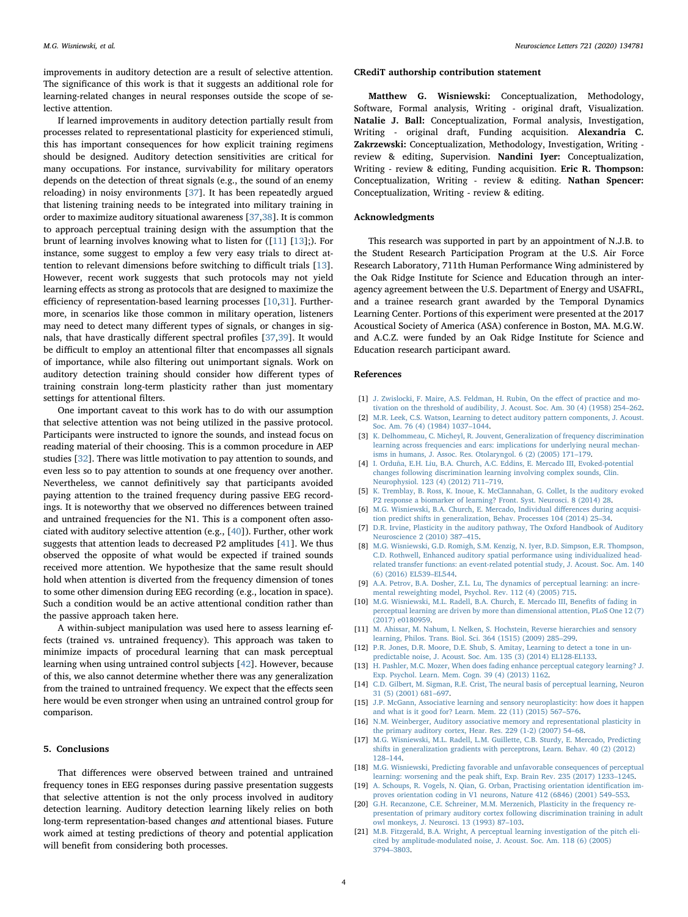improvements in auditory detection are a result of selective attention. The significance of this work is that it suggests an additional role for learning-related changes in neural responses outside the scope of selective attention.

If learned improvements in auditory detection partially result from processes related to representational plasticity for experienced stimuli, this has important consequences for how explicit training regimens should be designed. Auditory detection sensitivities are critical for many occupations. For instance, survivability for military operators depends on the detection of threat signals (e.g., the sound of an enemy reloading) in noisy environments [\[37](#page-4-10)]. It has been repeatedly argued that listening training needs to be integrated into military training in order to maximize auditory situational awareness [[37,](#page-4-10)[38](#page-4-11)]. It is common to approach perceptual training design with the assumption that the brunt of learning involves knowing what to listen for ([\[11](#page-3-8)] [\[13](#page-3-17)];). For instance, some suggest to employ a few very easy trials to direct attention to relevant dimensions before switching to difficult trials [\[13](#page-3-17)]. However, recent work suggests that such protocols may not yield learning effects as strong as protocols that are designed to maximize the efficiency of representation-based learning processes [\[10](#page-3-7)[,31](#page-4-4)]. Furthermore, in scenarios like those common in military operation, listeners may need to detect many different types of signals, or changes in signals, that have drastically different spectral profiles [[37,](#page-4-10)[39\]](#page-4-12). It would be difficult to employ an attentional filter that encompasses all signals of importance, while also filtering out unimportant signals. Work on auditory detection training should consider how different types of training constrain long-term plasticity rather than just momentary settings for attentional filters.

One important caveat to this work has to do with our assumption that selective attention was not being utilized in the passive protocol. Participants were instructed to ignore the sounds, and instead focus on reading material of their choosing. This is a common procedure in AEP studies [\[32](#page-4-5)]. There was little motivation to pay attention to sounds, and even less so to pay attention to sounds at one frequency over another. Nevertheless, we cannot definitively say that participants avoided paying attention to the trained frequency during passive EEG recordings. It is noteworthy that we observed no differences between trained and untrained frequencies for the N1. This is a component often associated with auditory selective attention (e.g., [\[40\]](#page-4-13)). Further, other work suggests that attention leads to decreased P2 amplitudes [[41\]](#page-4-14). We thus observed the opposite of what would be expected if trained sounds received more attention. We hypothesize that the same result should hold when attention is diverted from the frequency dimension of tones to some other dimension during EEG recording (e.g., location in space). Such a condition would be an active attentional condition rather than the passive approach taken here.

A within-subject manipulation was used here to assess learning effects (trained vs. untrained frequency). This approach was taken to minimize impacts of procedural learning that can mask perceptual learning when using untrained control subjects [\[42](#page-4-15)]. However, because of this, we also cannot determine whether there was any generalization from the trained to untrained frequency. We expect that the effects seen here would be even stronger when using an untrained control group for comparison.

## 5. Conclusions

That differences were observed between trained and untrained frequency tones in EEG responses during passive presentation suggests that selective attention is not the only process involved in auditory detection learning. Auditory detection learning likely relies on both long-term representation-based changes and attentional biases. Future work aimed at testing predictions of theory and potential application will benefit from considering both processes.

#### CRediT authorship contribution statement

Matthew G. Wisniewski: Conceptualization, Methodology, Software, Formal analysis, Writing - original draft, Visualization. Natalie J. Ball: Conceptualization, Formal analysis, Investigation, Writing - original draft, Funding acquisition. Alexandria C. Zakrzewski: Conceptualization, Methodology, Investigation, Writing review & editing, Supervision. Nandini Iyer: Conceptualization, Writing - review & editing, Funding acquisition. Eric R. Thompson: Conceptualization, Writing - review & editing. Nathan Spencer: Conceptualization, Writing - review & editing.

## Acknowledgments

This research was supported in part by an appointment of N.J.B. to the Student Research Participation Program at the U.S. Air Force Research Laboratory, 711th Human Performance Wing administered by the Oak Ridge Institute for Science and Education through an interagency agreement between the U.S. Department of Energy and USAFRL, and a trainee research grant awarded by the Temporal Dynamics Learning Center. Portions of this experiment were presented at the 2017 Acoustical Society of America (ASA) conference in Boston, MA. M.G.W. and A.C.Z. were funded by an Oak Ridge Institute for Science and Education research participant award.

#### References

- <span id="page-3-0"></span>[1] [J. Zwislocki, F. Maire, A.S. Feldman, H. Rubin, On the e](http://refhub.elsevier.com/S0304-3940(20)30051-3/sbref0005)ffect of practice and mo[tivation on the threshold of audibility, J. Acoust. Soc. Am. 30 \(4\) \(1958\) 254](http://refhub.elsevier.com/S0304-3940(20)30051-3/sbref0005)–262.
- <span id="page-3-1"></span>[2] [M.R. Leek, C.S. Watson, Learning to detect auditory pattern components, J. Acoust.](http://refhub.elsevier.com/S0304-3940(20)30051-3/sbref0010) [Soc. Am. 76 \(4\) \(1984\) 1037](http://refhub.elsevier.com/S0304-3940(20)30051-3/sbref0010)–1044.
- <span id="page-3-2"></span>[3] [K. Delhommeau, C. Micheyl, R. Jouvent, Generalization of frequency discrimination](http://refhub.elsevier.com/S0304-3940(20)30051-3/sbref0015) [learning across frequencies and ears: implications for underlying neural mechan](http://refhub.elsevier.com/S0304-3940(20)30051-3/sbref0015)[isms in humans, J. Assoc. Res. Otolaryngol. 6 \(2\) \(2005\) 171](http://refhub.elsevier.com/S0304-3940(20)30051-3/sbref0015)–179.
- <span id="page-3-3"></span>[4] [I. Orduña, E.H. Liu, B.A. Church, A.C. Eddins, E. Mercado III, Evoked-potential](http://refhub.elsevier.com/S0304-3940(20)30051-3/sbref0020) [changes following discrimination learning involving complex sounds, Clin.](http://refhub.elsevier.com/S0304-3940(20)30051-3/sbref0020) [Neurophysiol. 123 \(4\) \(2012\) 711](http://refhub.elsevier.com/S0304-3940(20)30051-3/sbref0020)–719.
- <span id="page-3-15"></span>[5] [K. Tremblay, B. Ross, K. Inoue, K. McClannahan, G. Collet, Is the auditory evoked](http://refhub.elsevier.com/S0304-3940(20)30051-3/sbref0025) [P2 response a biomarker of learning? Front. Syst. Neurosci. 8 \(2014\) 28.](http://refhub.elsevier.com/S0304-3940(20)30051-3/sbref0025)
- [6] [M.G. Wisniewski, B.A. Church, E. Mercado, Individual di](http://refhub.elsevier.com/S0304-3940(20)30051-3/sbref0030)fferences during acquisi[tion predict shifts in generalization, Behav. Processes 104 \(2014\) 25](http://refhub.elsevier.com/S0304-3940(20)30051-3/sbref0030)–34.
- <span id="page-3-4"></span>[7] [D.R. Irvine, Plasticity in the auditory pathway, The Oxford Handbook of Auditory](http://refhub.elsevier.com/S0304-3940(20)30051-3/sbref0035) [Neuroscience 2 \(2010\) 387](http://refhub.elsevier.com/S0304-3940(20)30051-3/sbref0035)–415.
- <span id="page-3-5"></span>[8] [M.G. Wisniewski, G.D. Romigh, S.M. Kenzig, N. Iyer, B.D. Simpson, E.R. Thompson,](http://refhub.elsevier.com/S0304-3940(20)30051-3/sbref0040) [C.D. Rothwell, Enhanced auditory spatial performance using individualized head](http://refhub.elsevier.com/S0304-3940(20)30051-3/sbref0040)[related transfer functions: an event-related potential study, J. Acoust. Soc. Am. 140](http://refhub.elsevier.com/S0304-3940(20)30051-3/sbref0040) [\(6\) \(2016\) EL539](http://refhub.elsevier.com/S0304-3940(20)30051-3/sbref0040)–EL544.
- <span id="page-3-6"></span>[9] [A.A. Petrov, B.A. Dosher, Z.L. Lu, The dynamics of perceptual learning: an incre](http://refhub.elsevier.com/S0304-3940(20)30051-3/sbref0045)[mental reweighting model, Psychol. Rev. 112 \(4\) \(2005\) 715.](http://refhub.elsevier.com/S0304-3940(20)30051-3/sbref0045)
- <span id="page-3-7"></span>[10] [M.G. Wisniewski, M.L. Radell, B.A. Church, E. Mercado III, Bene](http://refhub.elsevier.com/S0304-3940(20)30051-3/sbref0050)fits of fading in [perceptual learning are driven by more than dimensional attention, PLoS One 12 \(7\)](http://refhub.elsevier.com/S0304-3940(20)30051-3/sbref0050) [\(2017\) e0180959.](http://refhub.elsevier.com/S0304-3940(20)30051-3/sbref0050)
- <span id="page-3-8"></span>[11] [M. Ahissar, M. Nahum, I. Nelken, S. Hochstein, Reverse hierarchies and sensory](http://refhub.elsevier.com/S0304-3940(20)30051-3/sbref0055) [learning, Philos. Trans. Biol. Sci. 364 \(1515\) \(2009\) 285](http://refhub.elsevier.com/S0304-3940(20)30051-3/sbref0055)–299.
- <span id="page-3-13"></span>[12] [P.R. Jones, D.R. Moore, D.E. Shub, S. Amitay, Learning to detect a tone in un](http://refhub.elsevier.com/S0304-3940(20)30051-3/sbref0060)[predictable noise, J. Acoust. Soc. Am. 135 \(3\) \(2014\) EL128-EL133.](http://refhub.elsevier.com/S0304-3940(20)30051-3/sbref0060)
- <span id="page-3-17"></span>[13] [H. Pashler, M.C. Mozer, When does fading enhance perceptual category learning? J.](http://refhub.elsevier.com/S0304-3940(20)30051-3/sbref0065) [Exp. Psychol. Learn. Mem. Cogn. 39 \(4\) \(2013\) 1162.](http://refhub.elsevier.com/S0304-3940(20)30051-3/sbref0065)
- <span id="page-3-9"></span>[14] [C.D. Gilbert, M. Sigman, R.E. Crist, The neural basis of perceptual learning, Neuron](http://refhub.elsevier.com/S0304-3940(20)30051-3/sbref0070) [31 \(5\) \(2001\) 681](http://refhub.elsevier.com/S0304-3940(20)30051-3/sbref0070)–697.
- [15] [J.P. McGann, Associative learning and sensory neuroplasticity: how does it happen](http://refhub.elsevier.com/S0304-3940(20)30051-3/sbref0075) [and what is it good for? Learn. Mem. 22 \(11\) \(2015\) 567](http://refhub.elsevier.com/S0304-3940(20)30051-3/sbref0075)–576.
- <span id="page-3-10"></span>[16] [N.M. Weinberger, Auditory associative memory and representational plasticity in](http://refhub.elsevier.com/S0304-3940(20)30051-3/sbref0080) [the primary auditory cortex, Hear. Res. 229 \(1-2\) \(2007\) 54](http://refhub.elsevier.com/S0304-3940(20)30051-3/sbref0080)–68.
- [17] [M.G. Wisniewski, M.L. Radell, L.M. Guillette, C.B. Sturdy, E. Mercado, Predicting](http://refhub.elsevier.com/S0304-3940(20)30051-3/sbref0085) [shifts in generalization gradients with perceptrons, Learn. Behav. 40 \(2\) \(2012\)](http://refhub.elsevier.com/S0304-3940(20)30051-3/sbref0085) 128–[144.](http://refhub.elsevier.com/S0304-3940(20)30051-3/sbref0085)
- <span id="page-3-16"></span>[18] M.G. [Wisniewski, Predicting favorable and unfavorable consequences of perceptual](http://refhub.elsevier.com/S0304-3940(20)30051-3/sbref0090) [learning: worsening and the peak shift, Exp. Brain Rev. 235 \(2017\) 1233](http://refhub.elsevier.com/S0304-3940(20)30051-3/sbref0090)–1245.
- <span id="page-3-11"></span>[19] [A. Schoups, R. Vogels, N. Qian, G. Orban, Practising orientation identi](http://refhub.elsevier.com/S0304-3940(20)30051-3/sbref0095)fication im[proves orientation coding in V1 neurons, Nature 412 \(6846\) \(2001\) 549](http://refhub.elsevier.com/S0304-3940(20)30051-3/sbref0095)–553.
- <span id="page-3-12"></span>[20] [G.H. Recanzone, C.E. Schreiner, M.M. Merzenich, Plasticity in the frequency re](http://refhub.elsevier.com/S0304-3940(20)30051-3/sbref0100)[presentation of primary auditory cortex following discrimination training in adult](http://refhub.elsevier.com/S0304-3940(20)30051-3/sbref0100) [owl monkeys, J. Neurosci. 13 \(1993\) 87](http://refhub.elsevier.com/S0304-3940(20)30051-3/sbref0100)–103.
- <span id="page-3-14"></span>[21] [M.B. Fitzgerald, B.A. Wright, A perceptual learning investigation of the pitch eli](http://refhub.elsevier.com/S0304-3940(20)30051-3/sbref0105)[cited by amplitude-modulated noise, J. Acoust. Soc. Am. 118 \(6\) \(2005\)](http://refhub.elsevier.com/S0304-3940(20)30051-3/sbref0105) 3794–[3803.](http://refhub.elsevier.com/S0304-3940(20)30051-3/sbref0105)